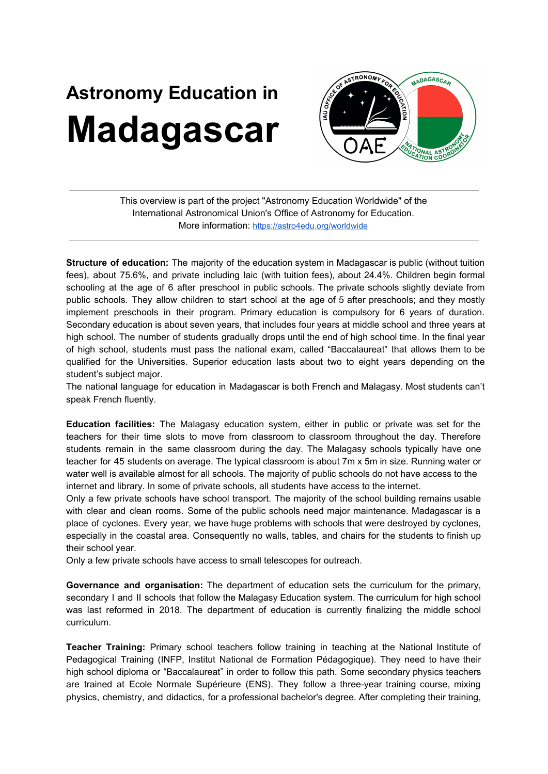## **Astronomy Education in Madagascar**



This overview is part of the project "Astronomy Education Worldwide" of the International Astronomical Union's Office of Astronomy for Education. More information: <https://astro4edu.org/worldwide>

**Structure of education:** The majority of the education system in Madagascar is public (without tuition fees), about 75.6%, and private including laic (with tuition fees), about 24.4%. Children begin formal schooling at the age of 6 after preschool in public schools. The private schools slightly deviate from public schools. They allow children to start school at the age of 5 after preschools; and they mostly implement preschools in their program. Primary education is compulsory for 6 years of duration. Secondary education is about seven years, that includes four years at middle school and three years at high school. The number of students gradually drops until the end of high school time. In the final year of high school, students must pass the national exam, called "Baccalaureat" that allows them to be qualified for the Universities. Superior education lasts about two to eight years depending on the student's subject major.

The national language for education in Madagascar is both French and Malagasy. Most students can't speak French fluently.

**Education facilities:** The Malagasy education system, either in public or private was set for the teachers for their time slots to move from classroom to classroom throughout the day. Therefore students remain in the same classroom during the day. The Malagasy schools typically have one teacher for 45 students on average. The typical classroom is about 7m x 5m in size. Running water or water well is available almost for all schools. The majority of public schools do not have access to the internet and library. In some of private schools, all students have access to the internet.

Only a few private schools have school transport. The majority of the school building remains usable with clear and clean rooms. Some of the public schools need major maintenance. Madagascar is a place of cyclones. Every year, we have huge problems with schools that were destroyed by cyclones, especially in the coastal area. Consequently no walls, tables, and chairs for the students to finish up their school year.

Only a few private schools have access to small telescopes for outreach.

**Governance and organisation:** The department of education sets the curriculum for the primary, secondary I and II schools that follow the Malagasy Education system. The curriculum for high school was last reformed in 2018. The department of education is currently finalizing the middle school curriculum.

**Teacher Training:** Primary school teachers follow training in teaching at the National Institute of Pedagogical Training (INFP, Institut National de Formation Pédagogique). They need to have their high school diploma or "Baccalaureat" in order to follow this path. Some secondary physics teachers are trained at Ecole Normale Supérieure (ENS). They follow a three-year training course, mixing physics, chemistry, and didactics, for a professional bachelor's degree. After completing their training,